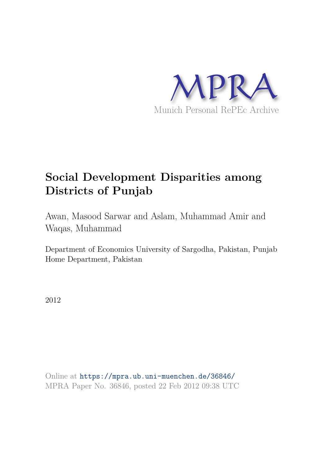

# **Social Development Disparities among Districts of Punjab**

Awan, Masood Sarwar and Aslam, Muhammad Amir and Waqas, Muhammad

Department of Economics University of Sargodha, Pakistan, Punjab Home Department, Pakistan

2012

Online at https://mpra.ub.uni-muenchen.de/36846/ MPRA Paper No. 36846, posted 22 Feb 2012 09:38 UTC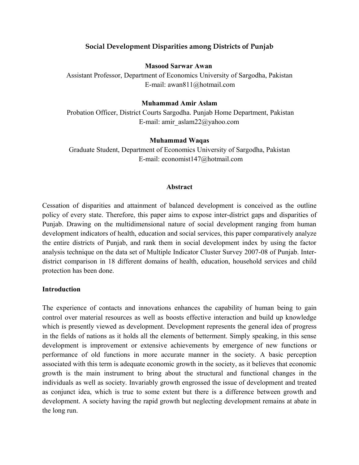# **Social Development Disparities among Districts of Punjab**

## **Masood Sarwar Awan**

Assistant Professor, Department of Economics University of Sargodha, Pakistan E-mail: awan811@hotmail.com

## **Muhammad Amir Aslam**

Probation Officer, District Courts Sargodha. Punjab Home Department, Pakistan E-mail: amir\_aslam22@yahoo.com

## **Muhammad Waqas**

Graduate Student, Department of Economics University of Sargodha, Pakistan E-mail: economist147@hotmail.com

## **Abstract**

Cessation of disparities and attainment of balanced development is conceived as the outline policy of every state. Therefore, this paper aims to expose inter-district gaps and disparities of Punjab. Drawing on the multidimensional nature of social development ranging from human development indicators of health, education and social services, this paper comparatively analyze the entire districts of Punjab, and rank them in social development index by using the factor analysis technique on the data set of Multiple Indicator Cluster Survey 2007-08 of Punjab. Interdistrict comparison in 18 different domains of health, education, household services and child protection has been done.

# **Introduction**

The experience of contacts and innovations enhances the capability of human being to gain control over material resources as well as boosts effective interaction and build up knowledge which is presently viewed as development. Development represents the general idea of progress in the fields of nations as it holds all the elements of betterment. Simply speaking, in this sense development is improvement or extensive achievements by emergence of new functions or performance of old functions in more accurate manner in the society. A basic perception associated with this term is adequate economic growth in the society, as it believes that economic growth is the main instrument to bring about the structural and functional changes in the individuals as well as society. Invariably growth engrossed the issue of development and treated as conjunct idea, which is true to some extent but there is a difference between growth and development. A society having the rapid growth but neglecting development remains at abate in the long run.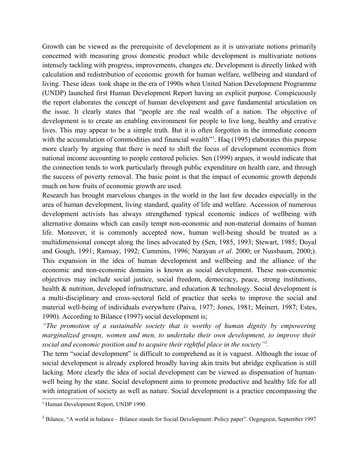Growth can be viewed as the prerequisite of development as it is univariate notions primarily concerned with measuring gross domestic product while development is multivariate notions intensely tackling with progress, improvements, changes etc. Development is directly linked with calculation and redistribution of economic growth for human welfare, wellbeing and standard of living. These ideas took shape in the era of 1990s when United Nation Development Programme (UNDP) launched first Human Development Report having an explicit purpose. Conspicuously the report elaborates the concept of human development and gave fundamental articulation on the issue. It clearly states that "people are the real wealth of a nation. The objective of development is to create an enabling environment for people to live long, healthy and creative lives. This may appear to be a simple truth. But it is often forgotten in the immediate concern with the accumulation of commodities and financial wealth<sup>"1</sup>. Haq (1995) elaborates this purpose more clearly by arguing that there is need to shift the focus of development economics from national income accounting to people centered policies. Sen (1999) argues, it would indicate that the connection tends to work particularly through public expenditure on health care, and through the success of poverty removal. The basic point is that the impact of economic growth depends much on how fruits of economic growth are used.

Research has brought marvelous changes in the world in the last few decades especially in the area of human development, living standard, quality of life and welfare. Accession of numerous development activists has always strengthened typical economic indices of wellbeing with alternative domains which can easily tempt non-economic and non-material domains of human life. Moreover, it is commonly accepted now, human well-being should be treated as a multidimensional concept along the lines advocated by (Sen, 1985, 1993; Stewart, 1985; Doyal and Gough, 1991; Ramsay, 1992; Cummins, 1996; Narayan *et al*. 2000; or Nussbaum, 2000;). This expansion in the idea of human development and wellbeing and the alliance of the economic and non-economic domains is known as social development. These non-economic objectives may include social justice, social freedom, democracy, peace, strong institutions, health & nutrition, developed infrastructure, and education & technology. Social development is a multi-disciplinary and cross-sectoral field of practice that seeks to improve the social and material well-being of individuals everywhere (Paiva, 1977; Jones, 1981; Meinert, 1987; Estes, 1990). According to Bilance (1997) social development is;

*"The promotion of a sustainable society that is worthy of human dignity by empowering marginalized groups, women and men, to undertake their own development, to improve their social and economic position and to acquire their rightful place in the society"<sup>2</sup> .*

The term "social development" is difficult to comprehend as it is vaguest. Although the issue of social development is already explored broadly having akin traits but abridge explication is still lacking. More clearly the idea of social development can be viewed as dispensation of humanwell being by the state. Social development aims to promote productive and healthy life for all with integration of society as well as nature. Social development is a practice encompassing the

<sup>1</sup> Human Development Report, UNDP 1990.

<sup>&</sup>lt;sup>2</sup> Bilance, "A world in balance – Bilance stands for Social Development: Policy paper". Oegstgeest, September 1997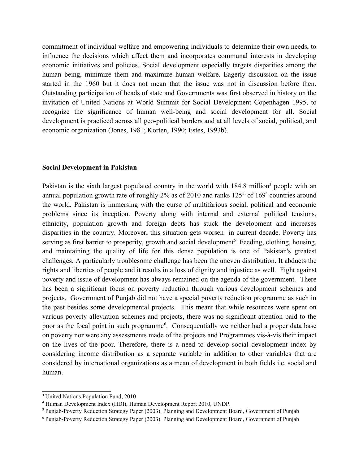commitment of individual welfare and empowering individuals to determine their own needs, to influence the decisions which affect them and incorporates communal interests in developing economic initiatives and policies. Social development especially targets disparities among the human being, minimize them and maximize human welfare. Eagerly discussion on the issue started in the 1960 but it does not mean that the issue was not in discussion before then. Outstanding participation of heads of state and Governments was first observed in history on the invitation of United Nations at World Summit for Social Development Copenhagen 1995, to recognize the significance of human well-being and social development for all. Social development is practiced across all geo-political borders and at all levels of social, political, and economic organization (Jones, 1981; Korten, 1990; Estes, 1993b).

#### **Social Development in Pakistan**

Pakistan is the sixth largest populated country in the world with 184.8 million<sup>3</sup> people with an annual population growth rate of roughly 2% as of 2010 and ranks  $125<sup>th</sup>$  of  $169<sup>4</sup>$  countries around the world. Pakistan is immersing with the curse of multifarious social, political and economic problems since its inception. Poverty along with internal and external political tensions, ethnicity, population growth and foreign debts has stuck the development and increases disparities in the country. Moreover, this situation gets worsen in current decade. Poverty has serving as first barrier to prosperity, growth and social development<sup>5</sup>. Feeding, clothing, housing, and maintaining the quality of life for this dense population is one of Pakistan's greatest challenges. A particularly troublesome challenge has been the uneven distribution. It abducts the rights and liberties of people and it results in a loss of dignity and injustice as well. Fight against poverty and issue of development has always remained on the agenda of the government. There has been a significant focus on poverty reduction through various development schemes and projects. Government of Punjab did not have a special poverty reduction programme as such in the past besides some developmental projects. This meant that while resources were spent on various poverty alleviation schemes and projects, there was no significant attention paid to the poor as the focal point in such programme<sup>6</sup>. Consequentially we neither had a proper data base on poverty nor were any assessments made of the projects and Programmes vis-à-vis their impact on the lives of the poor. Therefore, there is a need to develop social development index by considering income distribution as a separate variable in addition to other variables that are considered by international organizations as a mean of development in both fields i.e. social and human.

<sup>&</sup>lt;sup>3</sup> United Nations Population Fund, 2010

<sup>4</sup> Human Development Index (HDI), Human Development Report 2010, UNDP.

<sup>5</sup> Punjab-Poverty Reduction Strategy Paper (2003). Planning and Development Board, Government of Punjab

<sup>6</sup> Punjab-Poverty Reduction Strategy Paper (2003). Planning and Development Board, Government of Punjab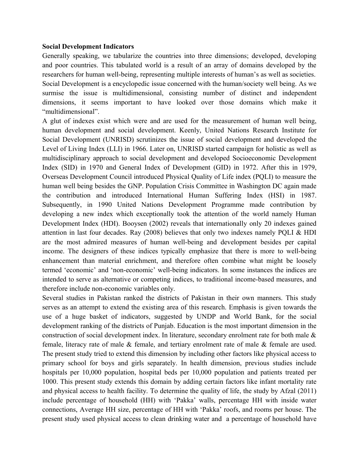## **Social Development Indicators**

Generally speaking, we tabularize the countries into three dimensions; developed, developing and poor countries. This tabulated world is a result of an array of domains developed by the researchers for human well-being, representing multiple interests of human's as well as societies. Social Development is a encyclopedic issue concerned with the human/society well being. As we surmise the issue is multidimensional, consisting number of distinct and independent dimensions, it seems important to have looked over those domains which make it "multidimensional".

A glut of indexes exist which were and are used for the measurement of human well being, human development and social development. Keenly, United Nations Research Institute for Social Development (UNRISD) scrutinizes the issue of social development and developed the Level of Living Index (LLI) in 1966. Later on, UNRISD started campaign for holistic as well as multidisciplinary approach to social development and developed Socioeconomic Development Index (SID) in 1970 and General Index of Development (GID) in 1972. After this in 1979, Overseas Development Council introduced Physical Quality of Life index (PQLI) to measure the human well being besides the GNP. Population Crisis Committee in Washington DC again made the contribution and introduced International Human Suffering Index (HSI) in 1987. Subsequently, in 1990 United Nations Development Programme made contribution by developing a new index which exceptionally took the attention of the world namely Human Development Index (HDI). Booysen (2002) reveals that internationally only 20 indexes gained attention in last four decades. Ray (2008) believes that only two indexes namely PQLI & HDI are the most admired measures of human well-being and development besides per capital income. The designers of these indices typically emphasize that there is more to well-being enhancement than material enrichment, and therefore often combine what might be loosely termed 'economic' and 'non-economic' well-being indicators. In some instances the indices are intended to serve as alternative or competing indices, to traditional income-based measures, and therefore include non-economic variables only.

Several studies in Pakistan ranked the districts of Pakistan in their own manners. This study serves as an attempt to extend the existing area of this research. Emphasis is given towards the use of a huge basket of indicators, suggested by UNDP and World Bank, for the social development ranking of the districts of Punjab. Education is the most important dimension in the construction of social development index. In literature, secondary enrolment rate for both male & female, literacy rate of male & female, and tertiary enrolment rate of male & female are used. The present study tried to extend this dimension by including other factors like physical access to primary school for boys and girls separately. In health dimension, previous studies include hospitals per 10,000 population, hospital beds per 10,000 population and patients treated per 1000. This present study extends this domain by adding certain factors like infant mortality rate and physical access to health facility. To determine the quality of life, the study by Afzal (2011) include percentage of household (HH) with 'Pakka' walls, percentage HH with inside water connections, Average HH size, percentage of HH with 'Pakka' roofs, and rooms per house. The present study used physical access to clean drinking water and a percentage of household have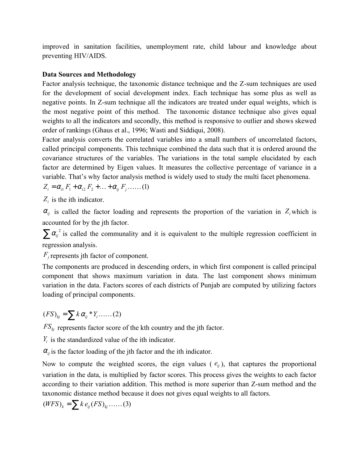improved in sanitation facilities, unemployment rate, child labour and knowledge about preventing HIV/AIDS.

# **Data Sources and Methodology**

Factor analysis technique, the taxonomic distance technique and the Z-sum techniques are used for the development of social development index. Each technique has some plus as well as negative points. In Z-sum technique all the indicators are treated under equal weights, which is the most negative point of this method. The taxonomic distance technique also gives equal weights to all the indicators and secondly, this method is responsive to outlier and shows skewed order of rankings (Ghaus et al., 1996; Wasti and Siddiqui, 2008).

Factor analysis converts the correlated variables into a small numbers of uncorrelated factors, called principal components. This technique combined the data such that it is ordered around the covariance structures of the variables. The variations in the total sample elucidated by each factor are determined by Eigen values. It measures the collective percentage of variance in a variable. That's why factor analysis method is widely used to study the multi facet phenomena.

$$
Z_i = \alpha_{i1} F_1 + \alpha_{i2} F_2 + \ldots + \alpha_{ij} F_j \ldots (1)
$$

 $Z_i$  is the ith indicator.

 $\alpha_{ij}$  is called the factor loading and represents the proportion of the variation in  $Z_i$  which is accounted for by the jth factor.

 $\sum \alpha_i^2$  is called the communality and it is equivalent to the multiple regression coefficient in regression analysis.

*F<sup>j</sup>* represents jth factor of component.

The components are produced in descending orders, in which first component is called principal component that shows maximum variation in data. The last component shows minimum variation in the data. Factors scores of each districts of Punjab are computed by utilizing factors loading of principal components.

$$
(FS)_{kj} = \sum k \alpha_{ij} * Y_i \dots (2)
$$

 $FS_{kj}$  represents factor score of the kth country and the jth factor.

 $Y_i$  is the standardized value of the ith indicator.

 $\alpha_{ij}$  is the factor loading of the jth factor and the ith indicator.

Now to compute the weighted scores, the eign values ( $e_{ij}$ ), that captures the proportional variation in the data, is multiplied by factor scores. This process gives the weights to each factor according to their variation addition. This method is more superior than Z-sum method and the taxonomic distance method because it does not gives equal weights to all factors.

$$
(WFS)_k = \sum k e_{ij} (FS)_{kj} \dots (3)
$$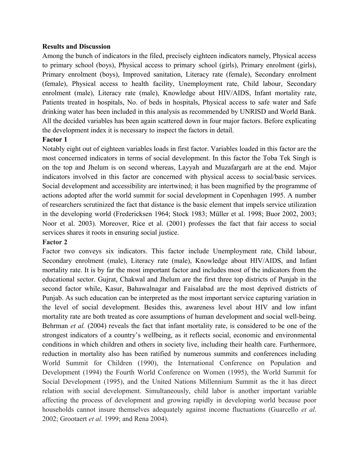## **Results and Discussion**

Among the bunch of indicators in the filed, precisely eighteen indicators namely, Physical access to primary school (boys), Physical access to primary school (girls), Primary enrolment (girls), Primary enrolment (boys), Improved sanitation, Literacy rate (female), Secondary enrolment (female), Physical access to health facility, Unemployment rate, Child labour, Secondary enrolment (male), Literacy rate (male), Knowledge about HIV/AIDS, Infant mortality rate, Patients treated in hospitals, No. of beds in hospitals, Physical access to safe water and Safe drinking water has been included in this analysis as recommended by UNRISD and World Bank. All the decided variables has been again scattered down in four major factors. Before explicating the development index it is necessary to inspect the factors in detail.

## **Factor 1**

Notably eight out of eighteen variables loads in first factor. Variables loaded in this factor are the most concerned indicators in terms of social development. In this factor the Toba Tek Singh is on the top and Jhelum is on second whereas, Layyah and Muzafargarh are at the end. Major indicators involved in this factor are concerned with physical access to social/basic services. Social development and accessibility are intertwined; it has been magnified by the programme of actions adopted after the world summit for social development in Copenhagen 1995. A number of researchers scrutinized the fact that distance is the basic element that impels service utilization in the developing world (Fredericksen 1964; Stock 1983; Müller et al. 1998; Buor 2002, 2003; Noor et al. 2003). Moreover, Rice et al. (2001) professes the fact that fair access to social services shares it roots in ensuring social justice.

# **Factor 2**

Factor two conveys six indicators. This factor include Unemployment rate, Child labour, Secondary enrolment (male), Literacy rate (male), Knowledge about HIV/AIDS, and Infant mortality rate. It is by far the most important factor and includes most of the indicators from the educational sector. Gujrat, Chakwal and Jhelum are the first three top districts of Punjab in the second factor while, Kasur, Bahawalnagar and Faisalabad are the most deprived districts of Punjab. As such education can be interpreted as the most important service capturing variation in the level of social development. Besides this, awareness level about HIV and low infant mortality rate are both treated as core assumptions of human development and social well-being. Behrman *et al.* (2004) reveals the fact that infant mortality rate, is considered to be one of the strongest indicators of a country's wellbeing, as it reflects social, economic and environmental conditions in which children and others in society live, including their health care. Furthermore, reduction in mortality also has been ratified by numerous summits and conferences including World Summit for Children (1990), the International Conference on Population and Development (1994) the Fourth World Conference on Women (1995), the World Summit for Social Development (1995), and the United Nations Millennium Summit as the it has direct relation with social development. Simultaneously, child labor is another important variable affecting the process of development and growing rapidly in developing world because poor households cannot insure themselves adequately against income fluctuations (Guarcello *et al*. 2002; Grootaert *et al*. 1999; and Rena 2004).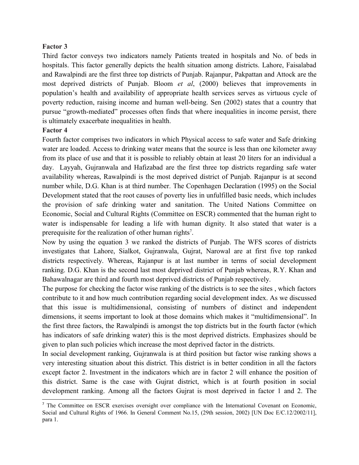## **Factor 3**

Third factor conveys two indicators namely Patients treated in hospitals and No. of beds in hospitals. This factor generally depicts the health situation among districts. Lahore, Faisalabad and Rawalpindi are the first three top districts of Punjab. Rajanpur, Pakpattan and Attock are the most deprived districts of Punjab. Bloom *et al*, (2000) believes that improvements in population's health and availability of appropriate health services serves as virtuous cycle of poverty reduction, raising income and human well-being. Sen (2002) states that a country that pursue "growth-mediated" processes often finds that where inequalities in income persist, there is ultimately exacerbate inequalities in health.

#### **Factor 4**

Fourth factor comprises two indicators in which Physical access to safe water and Safe drinking water are loaded. Access to drinking water means that the source is less than one kilometer away from its place of use and that it is possible to reliably obtain at least 20 liters for an individual a day. Layyah, Gujranwala and Hafizabad are the first three top districts regarding safe water availability whereas, Rawalpindi is the most deprived district of Punjab. Rajanpur is at second number while, D.G. Khan is at third number. The Copenhagen Declaration (1995) on the Social Development stated that the root causes of poverty lies in unfulfilled basic needs, which includes the provision of safe drinking water and sanitation. The United Nations Committee on Economic, Social and Cultural Rights (Committee on ESCR) commented that the human right to water is indispensable for leading a life with human dignity. It also stated that water is a prerequisite for the realization of other human rights<sup>7</sup>.

Now by using the equation 3 we ranked the districts of Punjab. The WFS scores of districts investigates that Lahore, Sialkot, Gujranwala, Gujrat, Narowal are at first five top ranked districts respectively. Whereas, Rajanpur is at last number in terms of social development ranking. D.G. Khan is the second last most deprived district of Punjab whereas, R.Y. Khan and Bahawalnagar are third and fourth most deprived districts of Punjab respectively.

The purpose for checking the factor wise ranking of the districts is to see the sites , which factors contribute to it and how much contribution regarding social development index. As we discussed that this issue is multidimensional, consisting of numbers of distinct and independent dimensions, it seems important to look at those domains which makes it "multidimensional". In the first three factors, the Rawalpindi is amongst the top districts but in the fourth factor (which has indicators of safe drinking water) this is the most deprived districts. Emphasizes should be given to plan such policies which increase the most deprived factor in the districts.

In social development ranking, Gujranwala is at third position but factor wise ranking shows a very interesting situation about this district. This district is in better condition in all the factors except factor 2. Investment in the indicators which are in factor 2 will enhance the position of this district. Same is the case with Gujrat district, which is at fourth position in social development ranking. Among all the factors Gujrat is most deprived in factor 1 and 2. The

<sup>&</sup>lt;sup>7</sup> The Committee on ESCR exercises oversight over compliance with the International Covenant on Economic, Social and Cultural Rights of 1966. In General Comment No.15, (29th session, 2002) [UN Doc E/C.12/2002/11], para 1.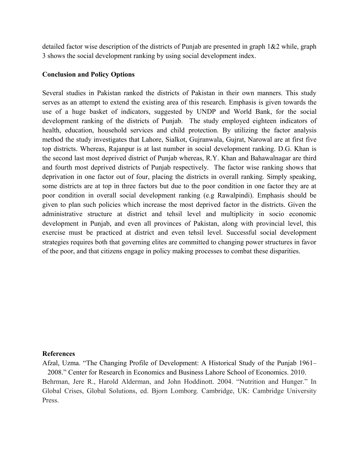detailed factor wise description of the districts of Punjab are presented in graph 1&2 while, graph 3 shows the social development ranking by using social development index.

#### **Conclusion and Policy Options**

Several studies in Pakistan ranked the districts of Pakistan in their own manners. This study serves as an attempt to extend the existing area of this research. Emphasis is given towards the use of a huge basket of indicators, suggested by UNDP and World Bank, for the social development ranking of the districts of Punjab. The study employed eighteen indicators of health, education, household services and child protection. By utilizing the factor analysis method the study investigates that Lahore, Sialkot, Gujranwala, Gujrat, Narowal are at first five top districts. Whereas, Rajanpur is at last number in social development ranking. D.G. Khan is the second last most deprived district of Punjab whereas, R.Y. Khan and Bahawalnagar are third and fourth most deprived districts of Punjab respectively. The factor wise ranking shows that deprivation in one factor out of four, placing the districts in overall ranking. Simply speaking, some districts are at top in three factors but due to the poor condition in one factor they are at poor condition in overall social development ranking (e.g Rawalpindi). Emphasis should be given to plan such policies which increase the most deprived factor in the districts. Given the administrative structure at district and tehsil level and multiplicity in socio economic development in Punjab, and even all provinces of Pakistan, along with provincial level, this exercise must be practiced at district and even tehsil level. Successful social development strategies requires both that governing elites are committed to changing power structures in favor of the poor, and that citizens engage in policy making processes to combat these disparities.

#### **References**

Afzal, Uzma. "The Changing Profile of Development: A Historical Study of the Punjab 1961– 2008." Center for Research in Economics and Business Lahore School of Economics. 2010. Behrman, Jere R., Harold Alderman, and John Hoddinott. 2004. "Nutrition and Hunger." In Global Crises, Global Solutions, ed. Bjorn Lomborg. Cambridge, UK: Cambridge University Press.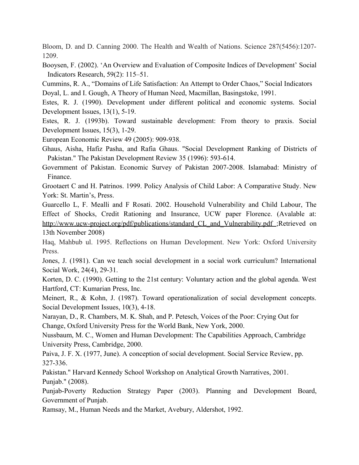Bloom, D. and D. Canning 2000. The Health and Wealth of Nations. Science 287(5456):1207- 1209.

Booysen, F. (2002). 'An Overview and Evaluation of Composite Indices of Development' Social Indicators Research, 59(2): 115–51.

Cummins, R. A., "Domains of Life Satisfaction: An Attempt to Order Chaos," Social Indicators Doyal, L. and I. Gough, A Theory of Human Need, Macmillan, Basingstoke, 1991.

Estes, R. J. (1990). Development under different political and economic systems. Social Development Issues, 13(1), 5-19.

Estes, R. J. (1993b). Toward sustainable development: From theory to praxis. Social Development Issues, 15(3), 1-29.

European Economic Review 49 (2005): 909-938.

Ghaus, Aisha, Hafiz Pasha, and Rafia Ghaus. "Social Development Ranking of Districts of Pakistan." The Pakistan Development Review 35 (1996): 593-614.

Government of Pakistan. Economic Survey of Pakistan 2007-2008. Islamabad: Ministry of Finance.

Grootaert C and H. Patrinos. 1999. Policy Analysis of Child Labor: A Comparative Study. New York: St. Martin's, Press.

Guarcello L, F. Mealli and F Rosati. 2002. Household Vulnerability and Child Labour, The Effect of Shocks, Credit Rationing and Insurance, UCW paper Florence. (Avalable at: http://www.ucw-project.org/pdf/publications/standard CL and Vulnerability.pdf ;Retrieved on 13th November 2008)

Haq, Mahbub ul. 1995. Reflections on Human Development. New York: Oxford University Press.

Jones, J. (1981). Can we teach social development in a social work curriculum? International Social Work, 24(4), 29-31.

Korten, D. C. (1990). Getting to the 21st century: Voluntary action and the global agenda. West Hartford, CT: Kumarian Press, Inc.

Meinert, R., & Kohn, J. (1987). Toward operationalization of social development concepts. Social Development Issues, 10(3), 4-18.

Narayan, D., R. Chambers, M. K. Shah, and P. Petesch, Voices of the Poor: Crying Out for Change, Oxford University Press for the World Bank, New York, 2000.

Nussbaum, M. C., Women and Human Development: The Capabilities Approach, Cambridge University Press, Cambridge, 2000.

Paiva, J. F. X. (1977, June). A conception of social development. Social Service Review, pp. 327-336.

Pakistan." Harvard Kennedy School Workshop on Analytical Growth Narratives, 2001. Punjab." (2008).

Punjab-Poverty Reduction Strategy Paper (2003). Planning and Development Board, Government of Punjab.

Ramsay, M., Human Needs and the Market, Avebury, Aldershot, 1992.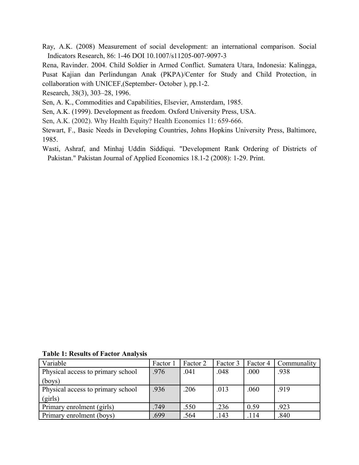Ray, A.K. (2008) Measurement of social development: an international comparison. Social Indicators Research, 86: 1-46 DOI 10.1007/s11205-007-9097-3

Rena, Ravinder. 2004. Child Soldier in Armed Conflict. Sumatera Utara, Indonesia: Kalingga, Pusat Kajian dan Perlindungan Anak (PKPA)/Center for Study and Child Protection, in collaboration with UNICEF,(September- October ), pp.1-2.

Research, 38(3), 303–28, 1996.

Sen, A. K., Commodities and Capabilities, Elsevier, Amsterdam, 1985.

Sen, A.K. (1999). Development as freedom. Oxford University Press, USA.

Sen, A.K. (2002). Why Health Equity? Health Economics 11: 659-666.

Stewart, F., Basic Needs in Developing Countries, Johns Hopkins University Press, Baltimore, 1985.

Wasti, Ashraf, and Minhaj Uddin Siddiqui. "Development Rank Ordering of Districts of Pakistan." Pakistan Journal of Applied Economics 18.1-2 (2008): 1-29. Print.

|  |  |  |  |  | <b>Table 1: Results of Factor Analysis</b> |
|--|--|--|--|--|--------------------------------------------|
|--|--|--|--|--|--------------------------------------------|

| Variable                          | Factor | Factor 2 | Factor 3 | Factor 4 | Communality |
|-----------------------------------|--------|----------|----------|----------|-------------|
| Physical access to primary school | .976   | .041     | .048     | .000     | .938        |
| (bovs)                            |        |          |          |          |             |
| Physical access to primary school | .936   | .206     | .013     | .060     | .919        |
| (girls)                           |        |          |          |          |             |
| Primary enrolment (girls)         | .749   | .550     | .236     | 0.59     | .923        |
| Primary enrolment (boys)          | .699   | .564     | .143     | .114     | .840        |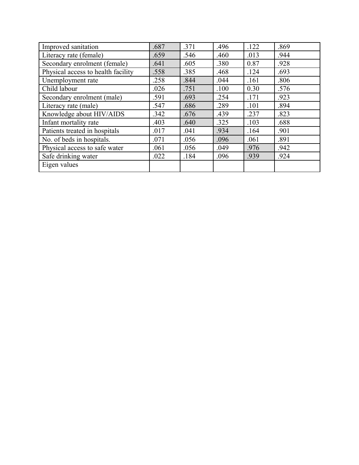| Improved sanitation                | .687 | .371 | .496 | .122 | .869 |
|------------------------------------|------|------|------|------|------|
| Literacy rate (female)             | .659 | .546 | .460 | .013 | .944 |
| Secondary enrolment (female)       | .641 | .605 | .380 | 0.87 | .928 |
| Physical access to health facility | .558 | .385 | .468 | .124 | .693 |
| Unemployment rate                  | .258 | .844 | .044 | .161 | .806 |
| Child labour                       | .026 | .751 | .100 | 0.30 | .576 |
| Secondary enrolment (male)         | .591 | .693 | .254 | .171 | .923 |
| Literacy rate (male)               | .547 | .686 | .289 | .101 | .894 |
| Knowledge about HIV/AIDS           | .342 | .676 | .439 | .237 | .823 |
| Infant mortality rate              | .403 | .640 | .325 | .103 | .688 |
| Patients treated in hospitals      | .017 | .041 | .934 | .164 | .901 |
| No. of beds in hospitals.          | .071 | .056 | .096 | .061 | .891 |
| Physical access to safe water      | .061 | .056 | .049 | .976 | .942 |
| Safe drinking water                | .022 | .184 | .096 | .939 | .924 |
| Eigen values                       |      |      |      |      |      |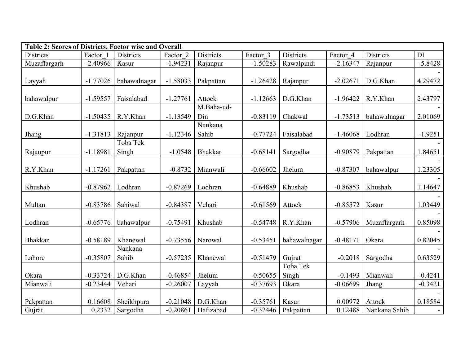| <b>Table 2: Scores of Districts, Factor wise and Overall</b> |            |                  |            |                |            |              |            |                  |           |
|--------------------------------------------------------------|------------|------------------|------------|----------------|------------|--------------|------------|------------------|-----------|
| Districts                                                    | Factor 1   | <b>Districts</b> | Factor 2   | Districts      | Factor 3   | Districts    | Factor 4   | <b>Districts</b> | DI        |
| Muzaffargarh                                                 | $-2.40966$ | Kasur            | $-1.94231$ | Rajanpur       | $-1.50283$ | Rawalpindi   | $-2.16347$ | Rajanpur         | $-5.8428$ |
|                                                              |            |                  |            |                |            |              |            |                  |           |
| Layyah                                                       | $-1.77026$ | bahawalnagar     | $-1.58033$ | Pakpattan      | $-1.26428$ | Rajanpur     | $-2.02671$ | D.G.Khan         | 4.29472   |
|                                                              |            |                  |            |                |            |              |            |                  |           |
| bahawalpur                                                   | $-1.59557$ | Faisalabad       | $-1.27761$ | Attock         | $-1.12663$ | D.G.Khan     | $-1.96422$ | R.Y.Khan         | 2.43797   |
|                                                              |            |                  |            | M.Baha-ud-     |            |              |            |                  |           |
| D.G.Khan                                                     | $-1.50435$ | R.Y.Khan         | $-1.13549$ | Din            | $-0.83119$ | Chakwal      | $-1.73513$ | bahawalnagar     | 2.01069   |
|                                                              |            |                  |            | Nankana        |            |              |            |                  |           |
| Jhang                                                        | $-1.31813$ | Rajanpur         | $-1.12346$ | Sahib          | $-0.77724$ | Faisalabad   | $-1.46068$ | Lodhran          | $-1.9251$ |
|                                                              |            | Toba Tek         |            |                |            |              |            |                  |           |
| Rajanpur                                                     | $-1.18981$ | Singh            | $-1.0548$  | <b>Bhakkar</b> | $-0.68141$ | Sargodha     | $-0.90879$ | Pakpattan        | 1.84651   |
|                                                              |            |                  |            |                |            |              |            |                  |           |
| R.Y.Khan                                                     | $-1.17261$ | Pakpattan        | $-0.8732$  | Mianwali       | $-0.66602$ | Jhelum       | $-0.87307$ | bahawalpur       | 1.23305   |
|                                                              |            |                  |            |                |            |              |            |                  |           |
| Khushab                                                      | $-0.87962$ | Lodhran          | $-0.87269$ | Lodhran        | $-0.64889$ | Khushab      | $-0.86853$ | Khushab          | 1.14647   |
|                                                              |            |                  |            |                |            |              |            |                  |           |
| Multan                                                       | $-0.83786$ | Sahiwal          | $-0.84387$ | Vehari         | $-0.61569$ | Attock       | $-0.85572$ | Kasur            | 1.03449   |
|                                                              |            |                  |            |                |            |              |            |                  |           |
| Lodhran                                                      | $-0.65776$ | bahawalpur       | $-0.75491$ | Khushab        | $-0.54748$ | R.Y.Khan     | $-0.57906$ | Muzaffargarh     | 0.85098   |
|                                                              |            |                  |            |                |            |              |            |                  |           |
| <b>Bhakkar</b>                                               | $-0.58189$ | Khanewal         | $-0.73556$ | Narowal        | $-0.53451$ | bahawalnagar | $-0.48171$ | Okara            | 0.82045   |
|                                                              |            | Nankana          |            |                |            |              |            |                  |           |
| Lahore                                                       | $-0.35807$ | Sahib            | $-0.57235$ | Khanewal       | $-0.51479$ | Gujrat       | $-0.2018$  | Sargodha         | 0.63529   |
|                                                              |            |                  |            |                |            | Toba Tek     |            |                  |           |
| Okara                                                        | $-0.33724$ | D.G.Khan         | $-0.46854$ | Jhelum         | $-0.50655$ | Singh        | $-0.1493$  | Mianwali         | $-0.4241$ |
| Mianwali                                                     | $-0.23444$ | Vehari           | $-0.26007$ | Layyah         | $-0.37693$ | Okara        | $-0.06699$ | Jhang            | $-0.3421$ |
|                                                              |            |                  |            |                |            |              |            |                  |           |
| Pakpattan                                                    | 0.16608    | Sheikhpura       | $-0.21048$ | D.G.Khan       | $-0.35761$ | Kasur        | 0.00972    | Attock           | 0.18584   |
| Gujrat                                                       | 0.2332     | Sargodha         | $-0.20861$ | Hafizabad      | $-0.32446$ | Pakpattan    | 0.12488    | Nankana Sahib    |           |